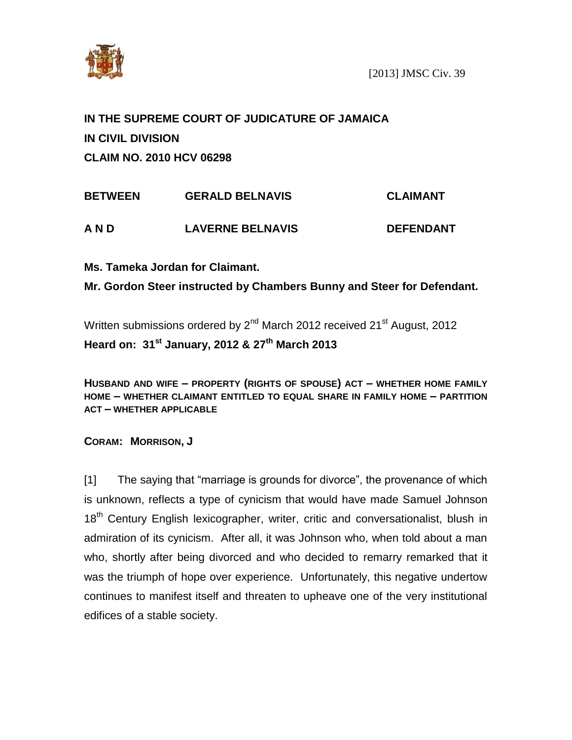

# **IN THE SUPREME COURT OF JUDICATURE OF JAMAICA IN CIVIL DIVISION CLAIM NO. 2010 HCV 06298**

| <b>BETWEEN</b> | <b>GERALD BELNAVIS</b>  | <b>CLAIMANT</b>  |
|----------------|-------------------------|------------------|
| A N D          | <b>LAVERNE BELNAVIS</b> | <b>DEFENDANT</b> |

**Ms. Tameka Jordan for Claimant.**

**Mr. Gordon Steer instructed by Chambers Bunny and Steer for Defendant.**

Written submissions ordered by 2<sup>nd</sup> March 2012 received 21<sup>st</sup> August, 2012 **Heard on: 31st January, 2012 & 27 th March 2013**

**HUSBAND AND WIFE – PROPERTY (RIGHTS OF SPOUSE) ACT – WHETHER HOME FAMILY HOME – WHETHER CLAIMANT ENTITLED TO EQUAL SHARE IN FAMILY HOME – PARTITION ACT – WHETHER APPLICABLE**

**CORAM: MORRISON, J**

[1] The saying that "marriage is grounds for divorce", the provenance of which is unknown, reflects a type of cynicism that would have made Samuel Johnson 18<sup>th</sup> Century English lexicographer, writer, critic and conversationalist, blush in admiration of its cynicism. After all, it was Johnson who, when told about a man who, shortly after being divorced and who decided to remarry remarked that it was the triumph of hope over experience. Unfortunately, this negative undertow continues to manifest itself and threaten to upheave one of the very institutional edifices of a stable society.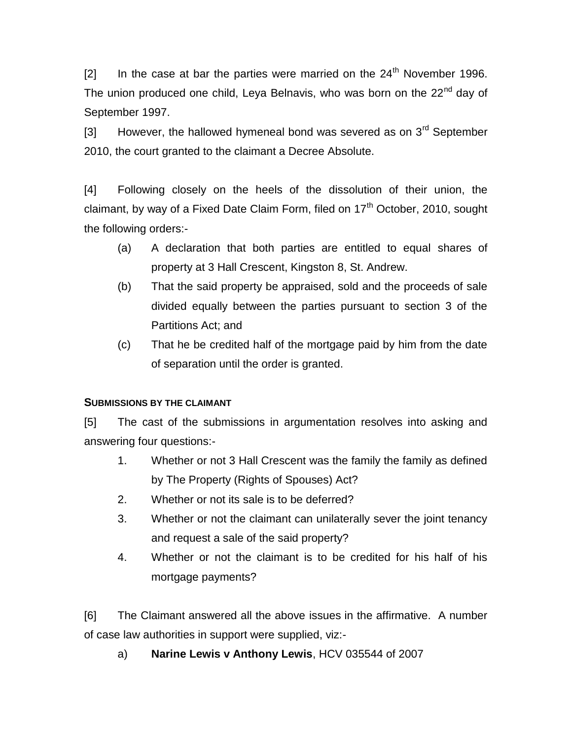$\lceil 2 \rceil$  In the case at bar the parties were married on the 24<sup>th</sup> November 1996. The union produced one child, Leya Belnavis, who was born on the 22<sup>nd</sup> dav of September 1997.

[3] However, the hallowed hymeneal bond was severed as on  $3<sup>rd</sup>$  September 2010, the court granted to the claimant a Decree Absolute.

[4] Following closely on the heels of the dissolution of their union, the claimant, by way of a Fixed Date Claim Form, filed on  $17<sup>th</sup>$  October, 2010, sought the following orders:-

- (a) A declaration that both parties are entitled to equal shares of property at 3 Hall Crescent, Kingston 8, St. Andrew.
- (b) That the said property be appraised, sold and the proceeds of sale divided equally between the parties pursuant to section 3 of the Partitions Act; and
- (c) That he be credited half of the mortgage paid by him from the date of separation until the order is granted.

### **SUBMISSIONS BY THE CLAIMANT**

[5] The cast of the submissions in argumentation resolves into asking and answering four questions:-

- 1. Whether or not 3 Hall Crescent was the family the family as defined by The Property (Rights of Spouses) Act?
- 2. Whether or not its sale is to be deferred?
- 3. Whether or not the claimant can unilaterally sever the joint tenancy and request a sale of the said property?
- 4. Whether or not the claimant is to be credited for his half of his mortgage payments?

[6] The Claimant answered all the above issues in the affirmative. A number of case law authorities in support were supplied, viz:-

a) **Narine Lewis v Anthony Lewis**, HCV 035544 of 2007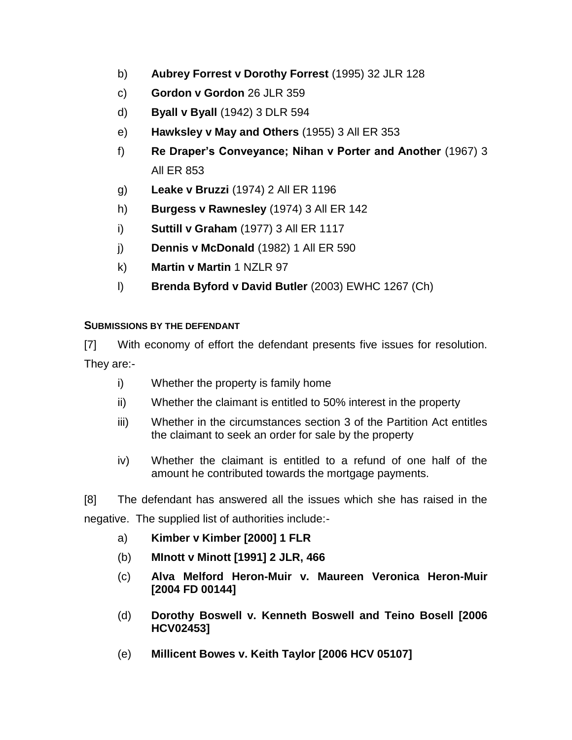- b) **Aubrey Forrest v Dorothy Forrest** (1995) 32 JLR 128
- c) **Gordon v Gordon** 26 JLR 359
- d) **Byall v Byall** (1942) 3 DLR 594
- e) **Hawksley v May and Others** (1955) 3 All ER 353
- f) **Re Draper's Conveyance; Nihan v Porter and Another** (1967) 3 All ER 853
- g) **Leake v Bruzzi** (1974) 2 All ER 1196
- h) **Burgess v Rawnesley** (1974) 3 All ER 142
- i) **Suttill v Graham** (1977) 3 All ER 1117
- j) **Dennis v McDonald** (1982) 1 All ER 590
- k) **Martin v Martin** 1 NZLR 97
- l) **Brenda Byford v David Butler** (2003) EWHC 1267 (Ch)

## **SUBMISSIONS BY THE DEFENDANT**

[7] With economy of effort the defendant presents five issues for resolution. They are:-

- i) Whether the property is family home
- ii) Whether the claimant is entitled to 50% interest in the property
- iii) Whether in the circumstances section 3 of the Partition Act entitles the claimant to seek an order for sale by the property
- iv) Whether the claimant is entitled to a refund of one half of the amount he contributed towards the mortgage payments.

[8] The defendant has answered all the issues which she has raised in the negative. The supplied list of authorities include:-

- a) **Kimber v Kimber [2000] 1 FLR**
- (b) **MInott v Minott [1991] 2 JLR, 466**
- (c) **Alva Melford Heron-Muir v. Maureen Veronica Heron-Muir [2004 FD 00144]**
- (d) **Dorothy Boswell v. Kenneth Boswell and Teino Bosell [2006 HCV02453]**
- (e) **Millicent Bowes v. Keith Taylor [2006 HCV 05107]**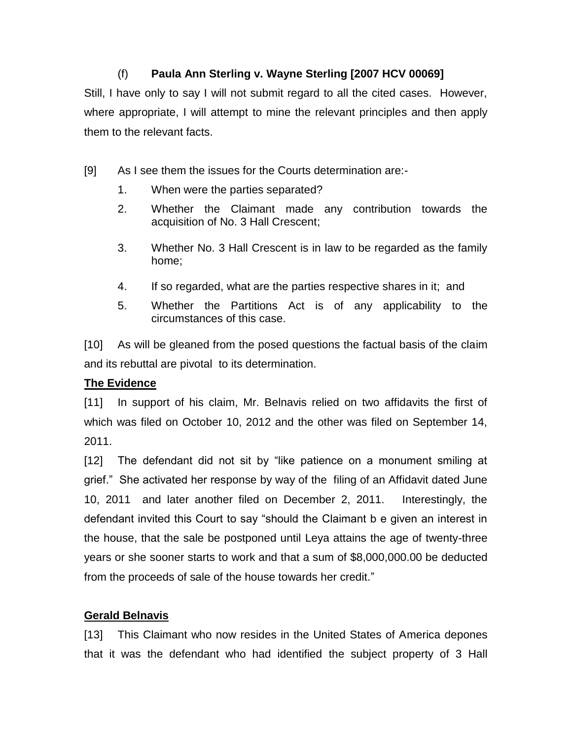## (f) **Paula Ann Sterling v. Wayne Sterling [2007 HCV 00069]**

Still, I have only to say I will not submit regard to all the cited cases. However, where appropriate, I will attempt to mine the relevant principles and then apply them to the relevant facts.

- [9] As I see them the issues for the Courts determination are:-
	- 1. When were the parties separated?
	- 2. Whether the Claimant made any contribution towards the acquisition of No. 3 Hall Crescent;
	- 3. Whether No. 3 Hall Crescent is in law to be regarded as the family home;
	- 4. If so regarded, what are the parties respective shares in it; and
	- 5. Whether the Partitions Act is of any applicability to the circumstances of this case.

[10] As will be gleaned from the posed questions the factual basis of the claim and its rebuttal are pivotal to its determination.

## **The Evidence**

[11] In support of his claim, Mr. Belnavis relied on two affidavits the first of which was filed on October 10, 2012 and the other was filed on September 14, 2011.

[12] The defendant did not sit by "like patience on a monument smiling at grief." She activated her response by way of the filing of an Affidavit dated June 10, 2011 and later another filed on December 2, 2011. Interestingly, the defendant invited this Court to say "should the Claimant b e given an interest in the house, that the sale be postponed until Leya attains the age of twenty-three years or she sooner starts to work and that a sum of \$8,000,000.00 be deducted from the proceeds of sale of the house towards her credit."

## **Gerald Belnavis**

[13] This Claimant who now resides in the United States of America depones that it was the defendant who had identified the subject property of 3 Hall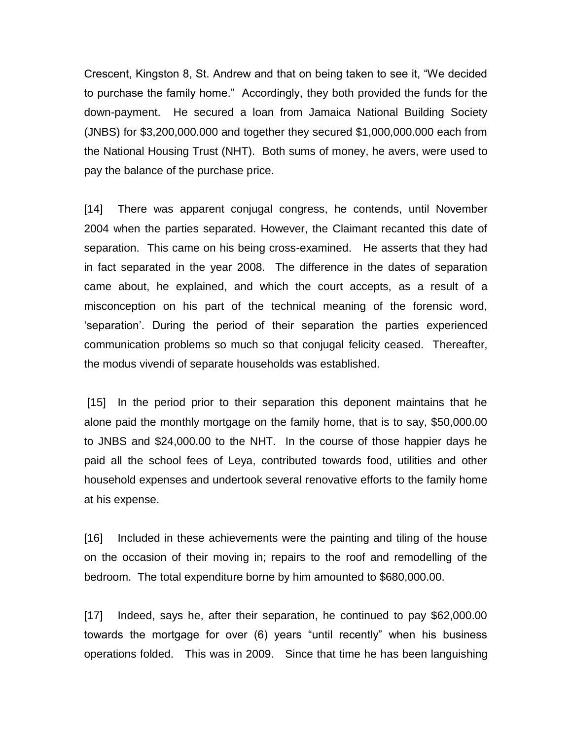Crescent, Kingston 8, St. Andrew and that on being taken to see it, "We decided to purchase the family home." Accordingly, they both provided the funds for the down-payment. He secured a loan from Jamaica National Building Society (JNBS) for \$3,200,000.000 and together they secured \$1,000,000.000 each from the National Housing Trust (NHT). Both sums of money, he avers, were used to pay the balance of the purchase price.

[14] There was apparent conjugal congress, he contends, until November 2004 when the parties separated. However, the Claimant recanted this date of separation. This came on his being cross-examined. He asserts that they had in fact separated in the year 2008. The difference in the dates of separation came about, he explained, and which the court accepts, as a result of a misconception on his part of the technical meaning of the forensic word, 'separation'. During the period of their separation the parties experienced communication problems so much so that conjugal felicity ceased. Thereafter, the modus vivendi of separate households was established.

[15] In the period prior to their separation this deponent maintains that he alone paid the monthly mortgage on the family home, that is to say, \$50,000.00 to JNBS and \$24,000.00 to the NHT. In the course of those happier days he paid all the school fees of Leya, contributed towards food, utilities and other household expenses and undertook several renovative efforts to the family home at his expense.

[16] Included in these achievements were the painting and tiling of the house on the occasion of their moving in; repairs to the roof and remodelling of the bedroom. The total expenditure borne by him amounted to \$680,000.00.

[17] Indeed, says he, after their separation, he continued to pay \$62,000.00 towards the mortgage for over (6) years "until recently" when his business operations folded. This was in 2009. Since that time he has been languishing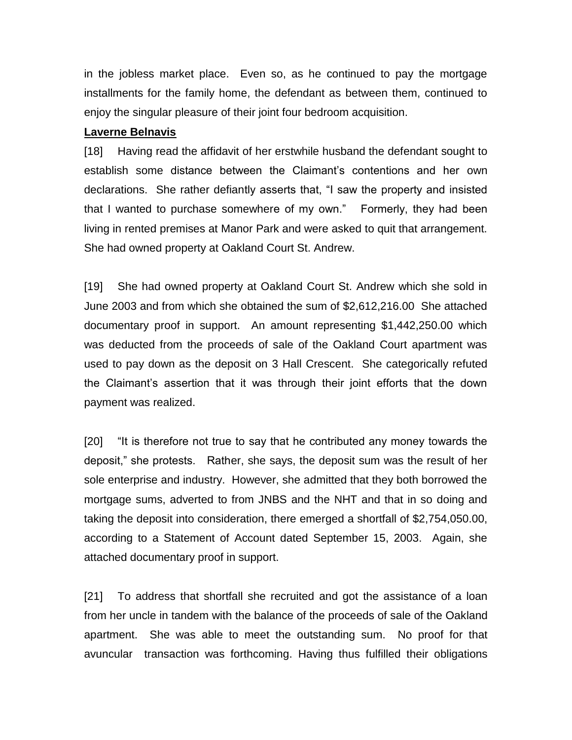in the jobless market place. Even so, as he continued to pay the mortgage installments for the family home, the defendant as between them, continued to enjoy the singular pleasure of their joint four bedroom acquisition.

#### **Laverne Belnavis**

[18] Having read the affidavit of her erstwhile husband the defendant sought to establish some distance between the Claimant's contentions and her own declarations. She rather defiantly asserts that, "I saw the property and insisted that I wanted to purchase somewhere of my own." Formerly, they had been living in rented premises at Manor Park and were asked to quit that arrangement. She had owned property at Oakland Court St. Andrew.

[19] She had owned property at Oakland Court St. Andrew which she sold in June 2003 and from which she obtained the sum of \$2,612,216.00 She attached documentary proof in support. An amount representing \$1,442,250.00 which was deducted from the proceeds of sale of the Oakland Court apartment was used to pay down as the deposit on 3 Hall Crescent. She categorically refuted the Claimant's assertion that it was through their joint efforts that the down payment was realized.

[20] "It is therefore not true to say that he contributed any money towards the deposit," she protests. Rather, she says, the deposit sum was the result of her sole enterprise and industry. However, she admitted that they both borrowed the mortgage sums, adverted to from JNBS and the NHT and that in so doing and taking the deposit into consideration, there emerged a shortfall of \$2,754,050.00, according to a Statement of Account dated September 15, 2003. Again, she attached documentary proof in support.

[21] To address that shortfall she recruited and got the assistance of a loan from her uncle in tandem with the balance of the proceeds of sale of the Oakland apartment. She was able to meet the outstanding sum. No proof for that avuncular transaction was forthcoming. Having thus fulfilled their obligations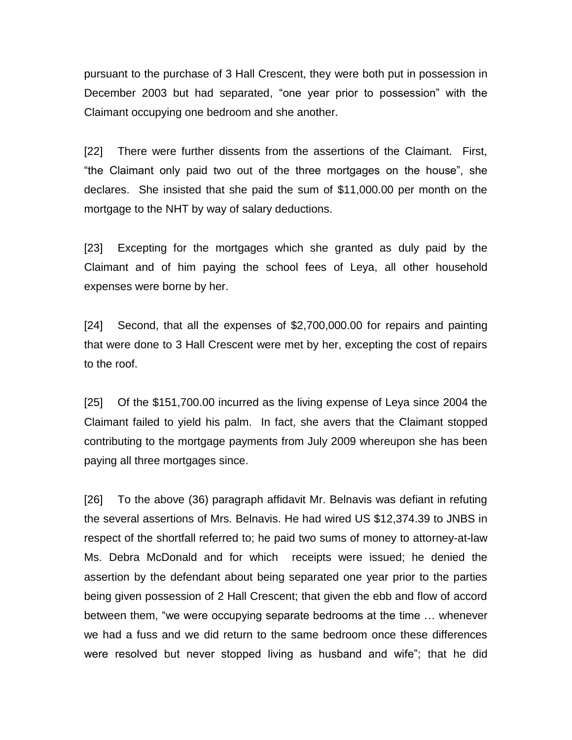pursuant to the purchase of 3 Hall Crescent, they were both put in possession in December 2003 but had separated, "one year prior to possession" with the Claimant occupying one bedroom and she another.

[22] There were further dissents from the assertions of the Claimant. First, "the Claimant only paid two out of the three mortgages on the house", she declares. She insisted that she paid the sum of \$11,000.00 per month on the mortgage to the NHT by way of salary deductions.

[23] Excepting for the mortgages which she granted as duly paid by the Claimant and of him paying the school fees of Leya, all other household expenses were borne by her.

[24] Second, that all the expenses of \$2,700,000.00 for repairs and painting that were done to 3 Hall Crescent were met by her, excepting the cost of repairs to the roof.

[25] Of the \$151,700.00 incurred as the living expense of Leya since 2004 the Claimant failed to yield his palm. In fact, she avers that the Claimant stopped contributing to the mortgage payments from July 2009 whereupon she has been paying all three mortgages since.

[26] To the above (36) paragraph affidavit Mr. Belnavis was defiant in refuting the several assertions of Mrs. Belnavis. He had wired US \$12,374.39 to JNBS in respect of the shortfall referred to; he paid two sums of money to attorney-at-law Ms. Debra McDonald and for which receipts were issued; he denied the assertion by the defendant about being separated one year prior to the parties being given possession of 2 Hall Crescent; that given the ebb and flow of accord between them, "we were occupying separate bedrooms at the time … whenever we had a fuss and we did return to the same bedroom once these differences were resolved but never stopped living as husband and wife"; that he did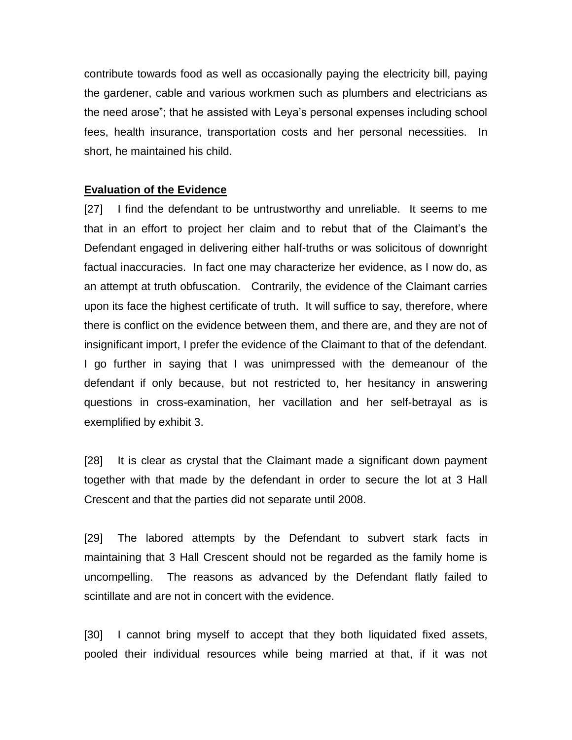contribute towards food as well as occasionally paying the electricity bill, paying the gardener, cable and various workmen such as plumbers and electricians as the need arose"; that he assisted with Leya's personal expenses including school fees, health insurance, transportation costs and her personal necessities. In short, he maintained his child.

#### **Evaluation of the Evidence**

[27] I find the defendant to be untrustworthy and unreliable. It seems to me that in an effort to project her claim and to rebut that of the Claimant's the Defendant engaged in delivering either half-truths or was solicitous of downright factual inaccuracies. In fact one may characterize her evidence, as I now do, as an attempt at truth obfuscation. Contrarily, the evidence of the Claimant carries upon its face the highest certificate of truth. It will suffice to say, therefore, where there is conflict on the evidence between them, and there are, and they are not of insignificant import, I prefer the evidence of the Claimant to that of the defendant. I go further in saying that I was unimpressed with the demeanour of the defendant if only because, but not restricted to, her hesitancy in answering questions in cross-examination, her vacillation and her self-betrayal as is exemplified by exhibit 3.

[28] It is clear as crystal that the Claimant made a significant down payment together with that made by the defendant in order to secure the lot at 3 Hall Crescent and that the parties did not separate until 2008.

[29] The labored attempts by the Defendant to subvert stark facts in maintaining that 3 Hall Crescent should not be regarded as the family home is uncompelling. The reasons as advanced by the Defendant flatly failed to scintillate and are not in concert with the evidence.

[30] I cannot bring myself to accept that they both liquidated fixed assets, pooled their individual resources while being married at that, if it was not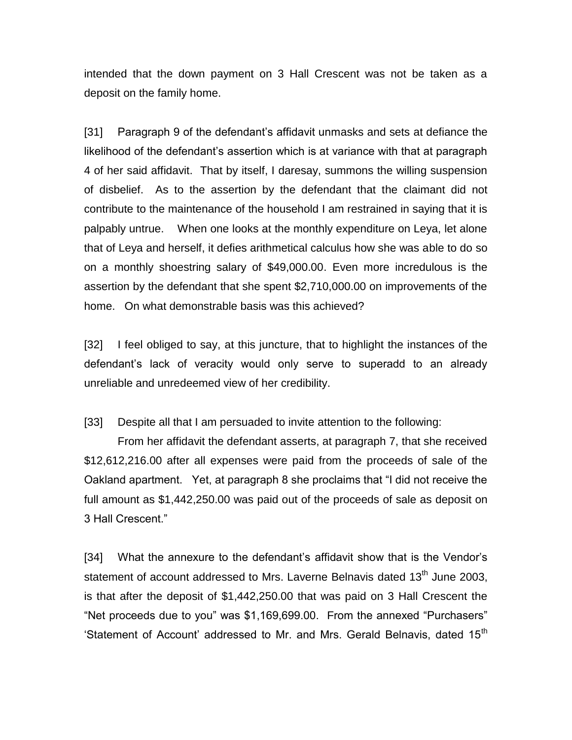intended that the down payment on 3 Hall Crescent was not be taken as a deposit on the family home.

[31] Paragraph 9 of the defendant's affidavit unmasks and sets at defiance the likelihood of the defendant's assertion which is at variance with that at paragraph 4 of her said affidavit. That by itself, I daresay, summons the willing suspension of disbelief. As to the assertion by the defendant that the claimant did not contribute to the maintenance of the household I am restrained in saying that it is palpably untrue. When one looks at the monthly expenditure on Leya, let alone that of Leya and herself, it defies arithmetical calculus how she was able to do so on a monthly shoestring salary of \$49,000.00. Even more incredulous is the assertion by the defendant that she spent \$2,710,000.00 on improvements of the home. On what demonstrable basis was this achieved?

[32] I feel obliged to say, at this juncture, that to highlight the instances of the defendant's lack of veracity would only serve to superadd to an already unreliable and unredeemed view of her credibility.

[33] Despite all that I am persuaded to invite attention to the following:

From her affidavit the defendant asserts, at paragraph 7, that she received \$12,612,216.00 after all expenses were paid from the proceeds of sale of the Oakland apartment. Yet, at paragraph 8 she proclaims that "I did not receive the full amount as \$1,442,250.00 was paid out of the proceeds of sale as deposit on 3 Hall Crescent."

[34] What the annexure to the defendant's affidavit show that is the Vendor's statement of account addressed to Mrs. Laverne Belnavis dated 13<sup>th</sup> June 2003, is that after the deposit of \$1,442,250.00 that was paid on 3 Hall Crescent the "Net proceeds due to you" was \$1,169,699.00. From the annexed "Purchasers" 'Statement of Account' addressed to Mr. and Mrs. Gerald Belnavis, dated 15<sup>th</sup>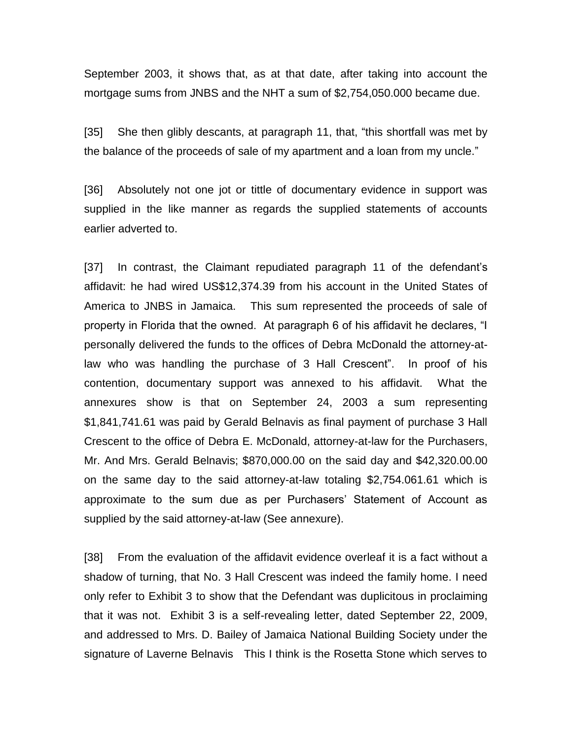September 2003, it shows that, as at that date, after taking into account the mortgage sums from JNBS and the NHT a sum of \$2,754,050.000 became due.

[35] She then glibly descants, at paragraph 11, that, "this shortfall was met by the balance of the proceeds of sale of my apartment and a loan from my uncle."

[36] Absolutely not one jot or tittle of documentary evidence in support was supplied in the like manner as regards the supplied statements of accounts earlier adverted to.

[37] In contrast, the Claimant repudiated paragraph 11 of the defendant's affidavit: he had wired US\$12,374.39 from his account in the United States of America to JNBS in Jamaica. This sum represented the proceeds of sale of property in Florida that the owned. At paragraph 6 of his affidavit he declares, "I personally delivered the funds to the offices of Debra McDonald the attorney-atlaw who was handling the purchase of 3 Hall Crescent". In proof of his contention, documentary support was annexed to his affidavit. What the annexures show is that on September 24, 2003 a sum representing \$1,841,741.61 was paid by Gerald Belnavis as final payment of purchase 3 Hall Crescent to the office of Debra E. McDonald, attorney-at-law for the Purchasers, Mr. And Mrs. Gerald Belnavis; \$870,000.00 on the said day and \$42,320.00.00 on the same day to the said attorney-at-law totaling \$2,754.061.61 which is approximate to the sum due as per Purchasers' Statement of Account as supplied by the said attorney-at-law (See annexure).

[38] From the evaluation of the affidavit evidence overleaf it is a fact without a shadow of turning, that No. 3 Hall Crescent was indeed the family home. I need only refer to Exhibit 3 to show that the Defendant was duplicitous in proclaiming that it was not. Exhibit 3 is a self-revealing letter, dated September 22, 2009, and addressed to Mrs. D. Bailey of Jamaica National Building Society under the signature of Laverne Belnavis This I think is the Rosetta Stone which serves to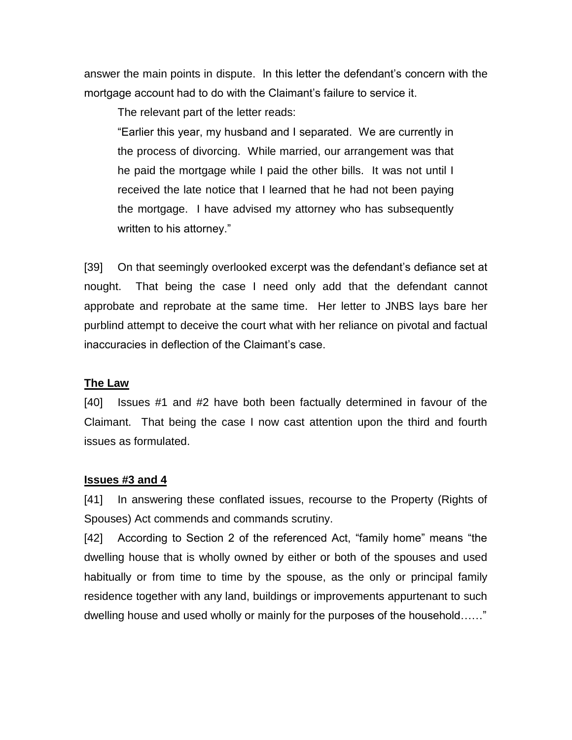answer the main points in dispute. In this letter the defendant's concern with the mortgage account had to do with the Claimant's failure to service it.

The relevant part of the letter reads:

"Earlier this year, my husband and I separated. We are currently in the process of divorcing. While married, our arrangement was that he paid the mortgage while I paid the other bills. It was not until I received the late notice that I learned that he had not been paying the mortgage. I have advised my attorney who has subsequently written to his attorney."

[39] On that seemingly overlooked excerpt was the defendant's defiance set at nought. That being the case I need only add that the defendant cannot approbate and reprobate at the same time. Her letter to JNBS lays bare her purblind attempt to deceive the court what with her reliance on pivotal and factual inaccuracies in deflection of the Claimant's case.

### **The Law**

[40] Issues #1 and #2 have both been factually determined in favour of the Claimant. That being the case I now cast attention upon the third and fourth issues as formulated.

### **Issues #3 and 4**

[41] In answering these conflated issues, recourse to the Property (Rights of Spouses) Act commends and commands scrutiny.

[42] According to Section 2 of the referenced Act, "family home" means "the dwelling house that is wholly owned by either or both of the spouses and used habitually or from time to time by the spouse, as the only or principal family residence together with any land, buildings or improvements appurtenant to such dwelling house and used wholly or mainly for the purposes of the household……"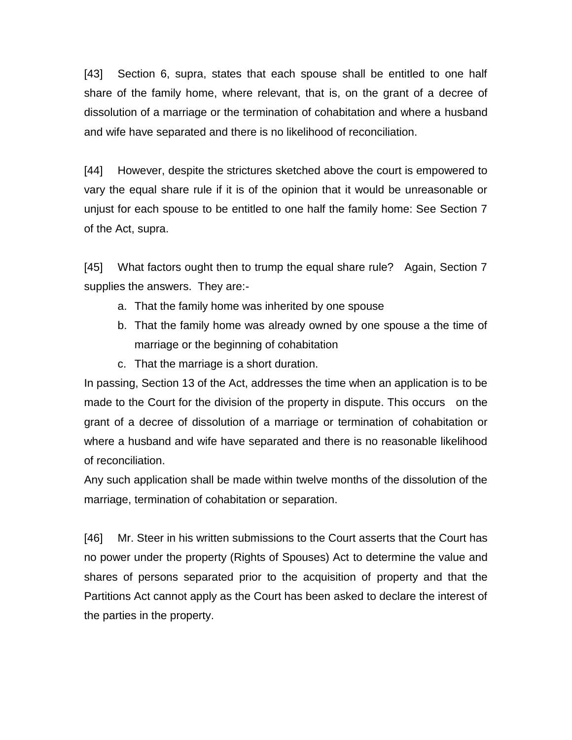[43] Section 6, supra, states that each spouse shall be entitled to one half share of the family home, where relevant, that is, on the grant of a decree of dissolution of a marriage or the termination of cohabitation and where a husband and wife have separated and there is no likelihood of reconciliation.

[44] However, despite the strictures sketched above the court is empowered to vary the equal share rule if it is of the opinion that it would be unreasonable or unjust for each spouse to be entitled to one half the family home: See Section 7 of the Act, supra.

[45] What factors ought then to trump the equal share rule? Again, Section 7 supplies the answers. They are:-

- a. That the family home was inherited by one spouse
- b. That the family home was already owned by one spouse a the time of marriage or the beginning of cohabitation
- c. That the marriage is a short duration.

In passing, Section 13 of the Act, addresses the time when an application is to be made to the Court for the division of the property in dispute. This occurs on the grant of a decree of dissolution of a marriage or termination of cohabitation or where a husband and wife have separated and there is no reasonable likelihood of reconciliation.

Any such application shall be made within twelve months of the dissolution of the marriage, termination of cohabitation or separation.

[46] Mr. Steer in his written submissions to the Court asserts that the Court has no power under the property (Rights of Spouses) Act to determine the value and shares of persons separated prior to the acquisition of property and that the Partitions Act cannot apply as the Court has been asked to declare the interest of the parties in the property.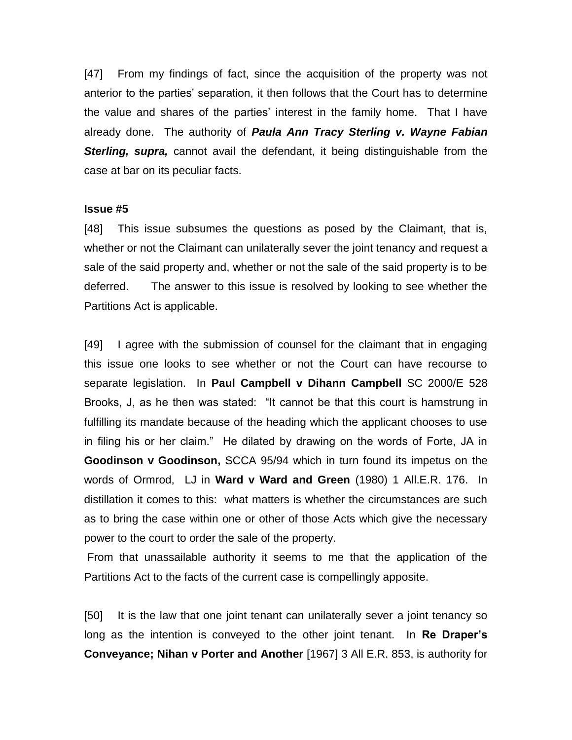[47] From my findings of fact, since the acquisition of the property was not anterior to the parties' separation, it then follows that the Court has to determine the value and shares of the parties' interest in the family home. That I have already done. The authority of *Paula Ann Tracy Sterling v. Wayne Fabian*  **Sterling, supra,** cannot avail the defendant, it being distinguishable from the case at bar on its peculiar facts.

#### **Issue #5**

[48] This issue subsumes the questions as posed by the Claimant, that is, whether or not the Claimant can unilaterally sever the joint tenancy and request a sale of the said property and, whether or not the sale of the said property is to be deferred. The answer to this issue is resolved by looking to see whether the Partitions Act is applicable.

[49] I agree with the submission of counsel for the claimant that in engaging this issue one looks to see whether or not the Court can have recourse to separate legislation. In **Paul Campbell v Dihann Campbell** SC 2000/E 528 Brooks, J, as he then was stated: "It cannot be that this court is hamstrung in fulfilling its mandate because of the heading which the applicant chooses to use in filing his or her claim." He dilated by drawing on the words of Forte, JA in **Goodinson v Goodinson,** SCCA 95/94 which in turn found its impetus on the words of Ormrod, LJ in **Ward v Ward and Green** (1980) 1 All.E.R. 176. In distillation it comes to this: what matters is whether the circumstances are such as to bring the case within one or other of those Acts which give the necessary power to the court to order the sale of the property.

From that unassailable authority it seems to me that the application of the Partitions Act to the facts of the current case is compellingly apposite.

[50] It is the law that one joint tenant can unilaterally sever a joint tenancy so long as the intention is conveyed to the other joint tenant. In **Re Draper's Conveyance; Nihan v Porter and Another** [1967] 3 All E.R. 853, is authority for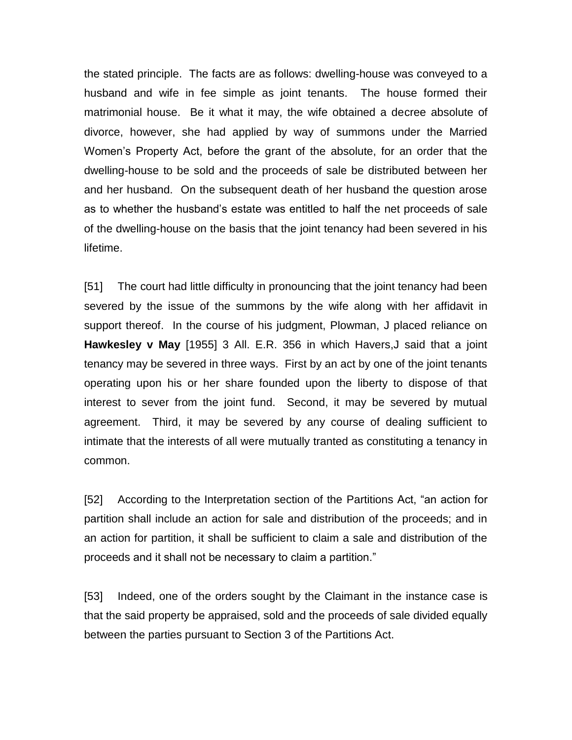the stated principle. The facts are as follows: dwelling-house was conveyed to a husband and wife in fee simple as joint tenants. The house formed their matrimonial house. Be it what it may, the wife obtained a decree absolute of divorce, however, she had applied by way of summons under the Married Women's Property Act, before the grant of the absolute, for an order that the dwelling-house to be sold and the proceeds of sale be distributed between her and her husband. On the subsequent death of her husband the question arose as to whether the husband's estate was entitled to half the net proceeds of sale of the dwelling-house on the basis that the joint tenancy had been severed in his lifetime.

[51] The court had little difficulty in pronouncing that the joint tenancy had been severed by the issue of the summons by the wife along with her affidavit in support thereof. In the course of his judgment, Plowman, J placed reliance on **Hawkesley v May** [1955] 3 All. E.R. 356 in which Havers,J said that a joint tenancy may be severed in three ways. First by an act by one of the joint tenants operating upon his or her share founded upon the liberty to dispose of that interest to sever from the joint fund. Second, it may be severed by mutual agreement. Third, it may be severed by any course of dealing sufficient to intimate that the interests of all were mutually tranted as constituting a tenancy in common.

[52] According to the Interpretation section of the Partitions Act, "an action for partition shall include an action for sale and distribution of the proceeds; and in an action for partition, it shall be sufficient to claim a sale and distribution of the proceeds and it shall not be necessary to claim a partition."

[53] Indeed, one of the orders sought by the Claimant in the instance case is that the said property be appraised, sold and the proceeds of sale divided equally between the parties pursuant to Section 3 of the Partitions Act.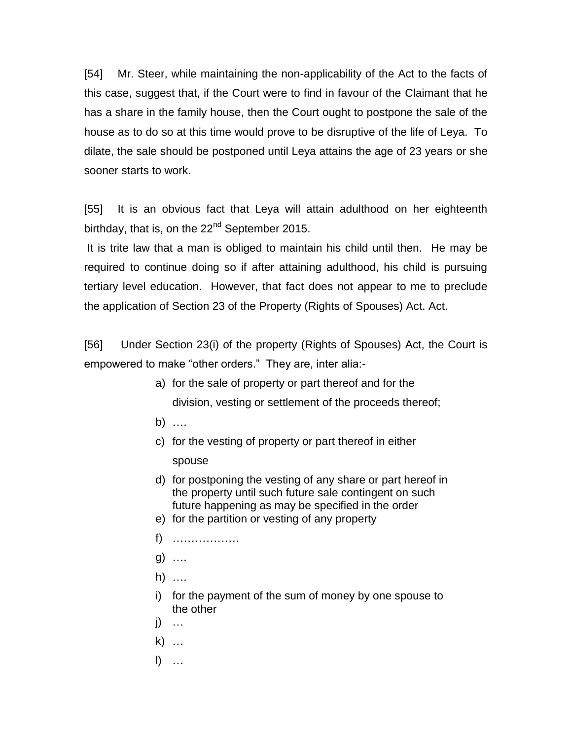[54] Mr. Steer, while maintaining the non-applicability of the Act to the facts of this case, suggest that, if the Court were to find in favour of the Claimant that he has a share in the family house, then the Court ought to postpone the sale of the house as to do so at this time would prove to be disruptive of the life of Leya. To dilate, the sale should be postponed until Leya attains the age of 23 years or she sooner starts to work.

[55] It is an obvious fact that Leya will attain adulthood on her eighteenth birthday, that is, on the 22<sup>nd</sup> September 2015.

It is trite law that a man is obliged to maintain his child until then. He may be required to continue doing so if after attaining adulthood, his child is pursuing tertiary level education. However, that fact does not appear to me to preclude the application of Section 23 of the Property (Rights of Spouses) Act. Act.

[56] Under Section 23(i) of the property (Rights of Spouses) Act, the Court is empowered to make "other orders." They are, inter alia:-

- a) for the sale of property or part thereof and for the division, vesting or settlement of the proceeds thereof;
- b) ….
- c) for the vesting of property or part thereof in either spouse
- d) for postponing the vesting of any share or part hereof in the property until such future sale contingent on such future happening as may be specified in the order
- e) for the partition or vesting of any property
- f) ………………
- g) ….
- h) ….
- i) for the payment of the sum of money by one spouse to the other
- j) …
- k) …
- l) …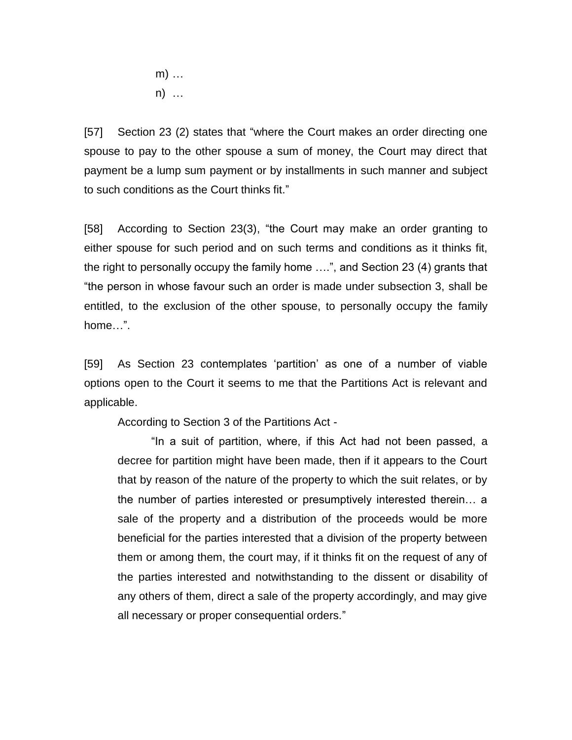m) … n) …

[57] Section 23 (2) states that "where the Court makes an order directing one spouse to pay to the other spouse a sum of money, the Court may direct that payment be a lump sum payment or by installments in such manner and subject to such conditions as the Court thinks fit."

[58] According to Section 23(3), "the Court may make an order granting to either spouse for such period and on such terms and conditions as it thinks fit, the right to personally occupy the family home ….", and Section 23 (4) grants that "the person in whose favour such an order is made under subsection 3, shall be entitled, to the exclusion of the other spouse, to personally occupy the family home…".

[59] As Section 23 contemplates 'partition' as one of a number of viable options open to the Court it seems to me that the Partitions Act is relevant and applicable.

According to Section 3 of the Partitions Act -

"In a suit of partition, where, if this Act had not been passed, a decree for partition might have been made, then if it appears to the Court that by reason of the nature of the property to which the suit relates, or by the number of parties interested or presumptively interested therein… a sale of the property and a distribution of the proceeds would be more beneficial for the parties interested that a division of the property between them or among them, the court may, if it thinks fit on the request of any of the parties interested and notwithstanding to the dissent or disability of any others of them, direct a sale of the property accordingly, and may give all necessary or proper consequential orders."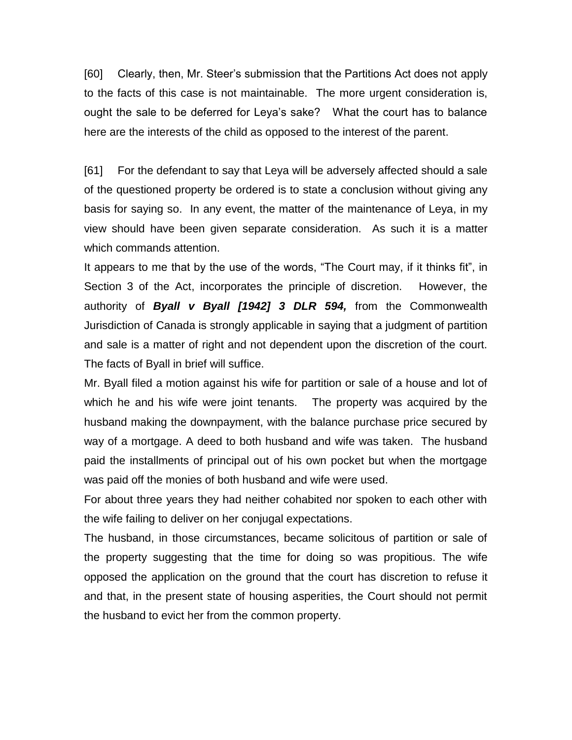[60] Clearly, then, Mr. Steer's submission that the Partitions Act does not apply to the facts of this case is not maintainable. The more urgent consideration is, ought the sale to be deferred for Leya's sake? What the court has to balance here are the interests of the child as opposed to the interest of the parent.

[61] For the defendant to say that Leya will be adversely affected should a sale of the questioned property be ordered is to state a conclusion without giving any basis for saying so. In any event, the matter of the maintenance of Leya, in my view should have been given separate consideration. As such it is a matter which commands attention.

It appears to me that by the use of the words, "The Court may, if it thinks fit", in Section 3 of the Act, incorporates the principle of discretion. However, the authority of *Byall v Byall [1942] 3 DLR 594,* from the Commonwealth Jurisdiction of Canada is strongly applicable in saying that a judgment of partition and sale is a matter of right and not dependent upon the discretion of the court. The facts of Byall in brief will suffice.

Mr. Byall filed a motion against his wife for partition or sale of a house and lot of which he and his wife were joint tenants. The property was acquired by the husband making the downpayment, with the balance purchase price secured by way of a mortgage. A deed to both husband and wife was taken. The husband paid the installments of principal out of his own pocket but when the mortgage was paid off the monies of both husband and wife were used.

For about three years they had neither cohabited nor spoken to each other with the wife failing to deliver on her conjugal expectations.

The husband, in those circumstances, became solicitous of partition or sale of the property suggesting that the time for doing so was propitious. The wife opposed the application on the ground that the court has discretion to refuse it and that, in the present state of housing asperities, the Court should not permit the husband to evict her from the common property.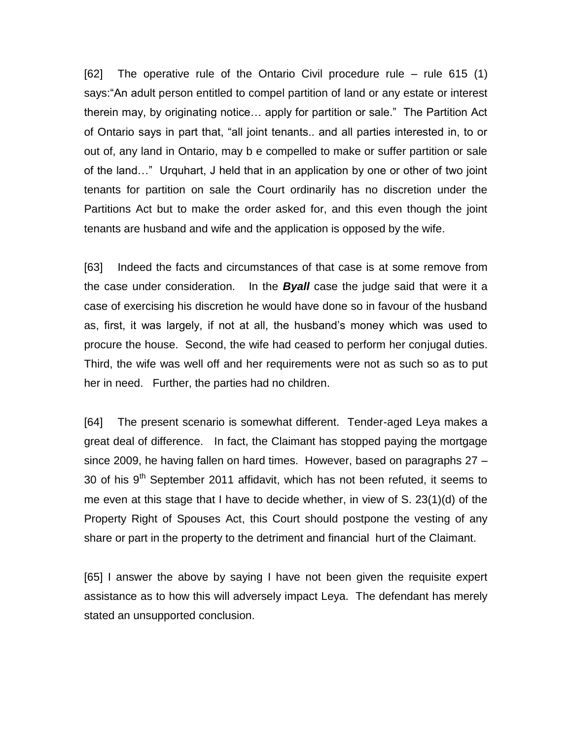[62] The operative rule of the Ontario Civil procedure rule – rule 615 (1) says:"An adult person entitled to compel partition of land or any estate or interest therein may, by originating notice… apply for partition or sale." The Partition Act of Ontario says in part that, "all joint tenants.. and all parties interested in, to or out of, any land in Ontario, may b e compelled to make or suffer partition or sale of the land…" Urquhart, J held that in an application by one or other of two joint tenants for partition on sale the Court ordinarily has no discretion under the Partitions Act but to make the order asked for, and this even though the joint tenants are husband and wife and the application is opposed by the wife.

[63] Indeed the facts and circumstances of that case is at some remove from the case under consideration. In the *Byall* case the judge said that were it a case of exercising his discretion he would have done so in favour of the husband as, first, it was largely, if not at all, the husband's money which was used to procure the house. Second, the wife had ceased to perform her conjugal duties. Third, the wife was well off and her requirements were not as such so as to put her in need. Further, the parties had no children.

[64] The present scenario is somewhat different. Tender-aged Leya makes a great deal of difference. In fact, the Claimant has stopped paying the mortgage since 2009, he having fallen on hard times. However, based on paragraphs 27 – 30 of his  $9<sup>th</sup>$  September 2011 affidavit, which has not been refuted, it seems to me even at this stage that I have to decide whether, in view of S. 23(1)(d) of the Property Right of Spouses Act, this Court should postpone the vesting of any share or part in the property to the detriment and financial hurt of the Claimant.

[65] I answer the above by saying I have not been given the requisite expert assistance as to how this will adversely impact Leya. The defendant has merely stated an unsupported conclusion.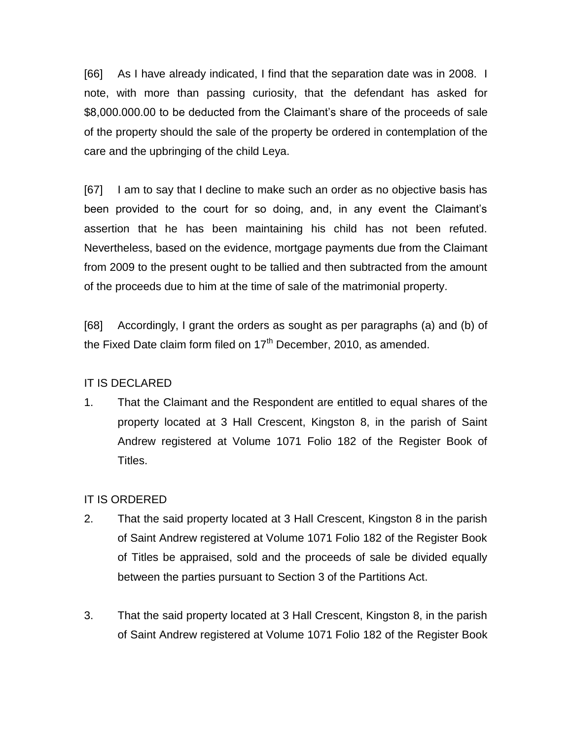[66] As I have already indicated, I find that the separation date was in 2008. I note, with more than passing curiosity, that the defendant has asked for \$8,000.000.00 to be deducted from the Claimant's share of the proceeds of sale of the property should the sale of the property be ordered in contemplation of the care and the upbringing of the child Leya.

[67] I am to say that I decline to make such an order as no objective basis has been provided to the court for so doing, and, in any event the Claimant's assertion that he has been maintaining his child has not been refuted. Nevertheless, based on the evidence, mortgage payments due from the Claimant from 2009 to the present ought to be tallied and then subtracted from the amount of the proceeds due to him at the time of sale of the matrimonial property.

[68] Accordingly, I grant the orders as sought as per paragraphs (a) and (b) of the Fixed Date claim form filed on  $17<sup>th</sup>$  December, 2010, as amended.

## IT IS DECLARED

1. That the Claimant and the Respondent are entitled to equal shares of the property located at 3 Hall Crescent, Kingston 8, in the parish of Saint Andrew registered at Volume 1071 Folio 182 of the Register Book of Titles.

## IT IS ORDERED

- 2. That the said property located at 3 Hall Crescent, Kingston 8 in the parish of Saint Andrew registered at Volume 1071 Folio 182 of the Register Book of Titles be appraised, sold and the proceeds of sale be divided equally between the parties pursuant to Section 3 of the Partitions Act.
- 3. That the said property located at 3 Hall Crescent, Kingston 8, in the parish of Saint Andrew registered at Volume 1071 Folio 182 of the Register Book